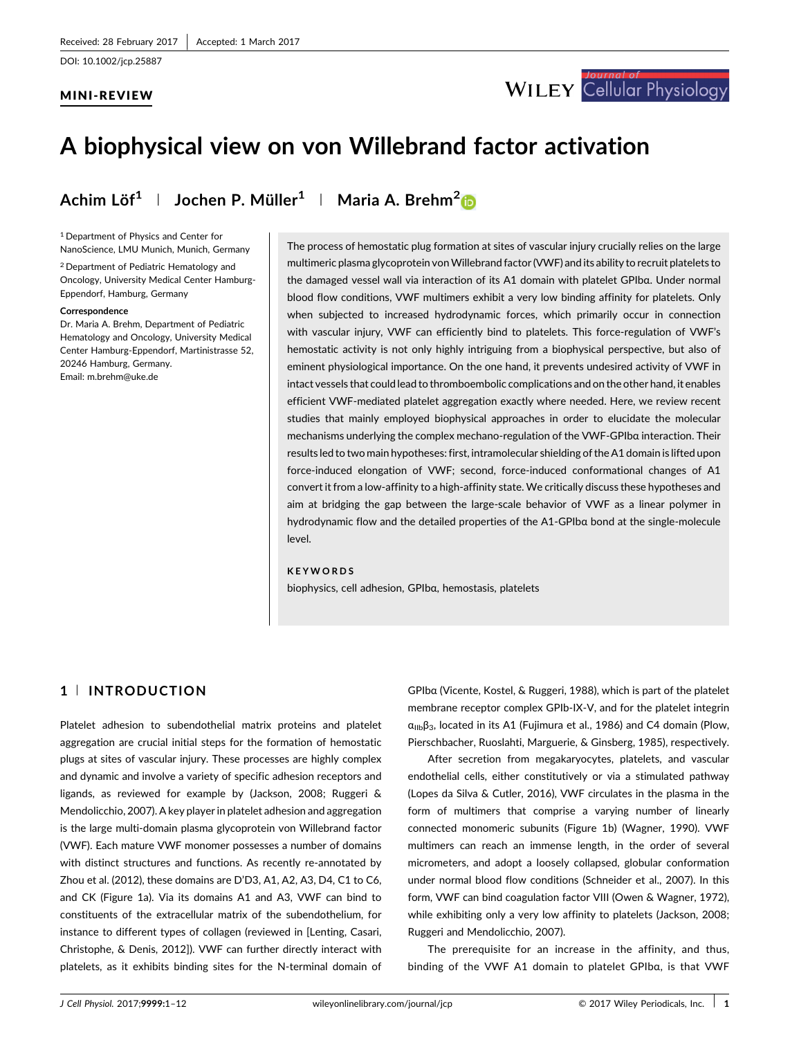## MINI-REVIEW



# A biophysical view on von Willebrand factor activation

Achim Löf<sup>1</sup> | Jochen P. Müller<sup>1</sup> | Maria A. Brehm<sup>[2](http://orcid.org/0000-0003-0416-8233)</sup>

<sup>1</sup> Department of Physics and Center for NanoScience, LMU Munich, Munich, Germany

<sup>2</sup> Department of Pediatric Hematology and Oncology, University Medical Center Hamburg-Eppendorf, Hamburg, Germany

#### **Correspondence**

Dr. Maria A. Brehm, Department of Pediatric Hematology and Oncology, University Medical Center Hamburg-Eppendorf, Martinistrasse 52, 20246 Hamburg, Germany. Email: m.brehm@uke.de

The process of hemostatic plug formation at sites of vascular injury crucially relies on the large multimeric plasma glycoprotein vonWillebrand factor (VWF) and its ability to recruit platelets to the damaged vessel wall via interaction of its A1 domain with platelet GPIbα. Under normal blood flow conditions, VWF multimers exhibit a very low binding affinity for platelets. Only when subjected to increased hydrodynamic forces, which primarily occur in connection with vascular injury, VWF can efficiently bind to platelets. This force-regulation of VWF's hemostatic activity is not only highly intriguing from a biophysical perspective, but also of eminent physiological importance. On the one hand, it prevents undesired activity of VWF in intact vessels that could lead to thromboembolic complications and on the other hand, it enables efficient VWF-mediated platelet aggregation exactly where needed. Here, we review recent studies that mainly employed biophysical approaches in order to elucidate the molecular mechanisms underlying the complex mechano-regulation of the VWF-GPIbα interaction. Their results led to two main hypotheses: first, intramolecular shielding of the A1 domain is lifted upon force-induced elongation of VWF; second, force-induced conformational changes of A1 convert it from a low-affinity to a high-affinity state. We critically discuss these hypotheses and aim at bridging the gap between the large-scale behavior of VWF as a linear polymer in hydrodynamic flow and the detailed properties of the A1-GPIbα bond at the single-molecule level.

### KEYWORDS

biophysics, cell adhesion, GPIbα, hemostasis, platelets

## 1 <sup>|</sup> INTRODUCTION

Platelet adhesion to subendothelial matrix proteins and platelet aggregation are crucial initial steps for the formation of hemostatic plugs at sites of vascular injury. These processes are highly complex and dynamic and involve a variety of specific adhesion receptors and ligands, as reviewed for example by (Jackson, [2008](#page-9-0); Ruggeri & Mendolicchio, [2007\)](#page-10-0). A key player in platelet adhesion and aggregation is the large multi-domain plasma glycoprotein von Willebrand factor (VWF). Each mature VWF monomer possesses a number of domains with distinct structures and functions. As recently re-annotated by Zhou et al. [\(2012\)](#page-11-0), these domains are D'D3, A1, A2, A3, D4, C1 to C6, and CK (Figure 1a). Via its domains A1 and A3, VWF can bind to constituents of the extracellular matrix of the subendothelium, for instance to different types of collagen (reviewed in [Lenting, Casari, Christophe, & Denis, [2012](#page-9-0)]). VWF can further directly interact with platelets, as it exhibits binding sites for the N-terminal domain of

GPIbα (Vicente, Kostel, & Ruggeri, [1988\)](#page-10-0), which is part of the platelet membrane receptor complex GPIb-IX-V, and for the platelet integrin  $\alpha_{\text{lib}}\beta_3$ , located in its A1 (Fujimura et al., [1986](#page-9-0)) and C4 domain (Plow, Pierschbacher, Ruoslahti, Marguerie, & Ginsberg, [1985\)](#page-10-0), respectively.

After secretion from megakaryocytes, platelets, and vascular endothelial cells, either constitutively or via a stimulated pathway (Lopes da Silva & Cutler, [2016\)](#page-9-0), VWF circulates in the plasma in the form of multimers that comprise a varying number of linearly connected monomeric subunits (Figure 1b) (Wagner, [1990\)](#page-10-0). VWF multimers can reach an immense length, in the order of several micrometers, and adopt a loosely collapsed, globular conformation under normal blood flow conditions (Schneider et al., [2007](#page-10-0)). In this form, VWF can bind coagulation factor VIII (Owen & Wagner, [1972\)](#page-10-0), while exhibiting only a very low affinity to platelets (Jackson, [2008;](#page-9-0) Ruggeri and Mendolicchio, [2007](#page-10-0)).

The prerequisite for an increase in the affinity, and thus, binding of the VWF A1 domain to platelet GPIbα, is that VWF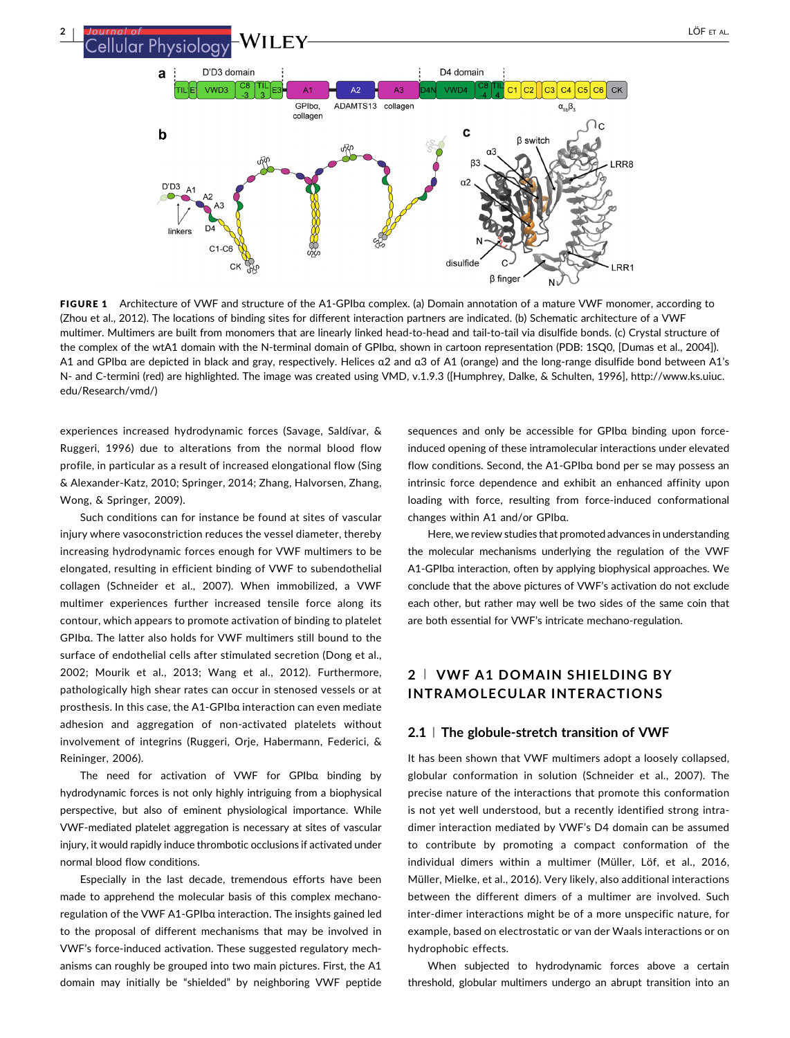<sup>2</sup> <sup>|</sup> LÖF ET AL.D'D3 domain  $\mathbf{a}$ D4 domain VWD3  $A<sub>2</sub>$  $\sqrt{\text{M}}$ DA  $c_1 | c_2 | | c_3$  $C<sub>4</sub>$  $C5|C6|$  $CK$ tii le  $\mathbf{A}$  $A3$  $GPIh\sigma$ ADAMTS13 collagen  $\alpha_{\rm in} \beta$ collager  $\sim$  $\mathbf c$  $\mathbf b$ **R** switch രി ß. **RR8**  $\alpha$  $D'D3$ linkers  $C1-C6$ disulfide CK RR<sub>1</sub>

FIGURE 1 Architecture of VWF and structure of the A1-GPIbα complex. (a) Domain annotation of a mature VWF monomer, according to (Zhou et al., [2012](#page-11-0)). The locations of binding sites for different interaction partners are indicated. (b) Schematic architecture of a VWF multimer. Multimers are built from monomers that are linearly linked head-to-head and tail-to-tail via disulfide bonds. (c) Crystal structure of the complex of the wtA1 domain with the N-terminal domain of GPIbα, shown in cartoon representation (PDB: 1SQ0, [Dumas et al., [2004\]](#page-9-0)). A1 and GPIbα are depicted in black and gray, respectively. Helices α2 and α3 of A1 (orange) and the long-range disulfide bond between A1's N- and C-termini (red) are highlighted. The image was created using VMD, v.1.9.3 ([Humphrey, Dalke, & Schulten, [1996](#page-9-0)], [http://www.ks.uiuc.](http://www.ks.uiuc.edu/Research/vmd/) [edu/Research/vmd/\)](http://www.ks.uiuc.edu/Research/vmd/)

experiences increased hydrodynamic forces (Savage, Saldívar, & Ruggeri, [1996\)](#page-10-0) due to alterations from the normal blood flow profile, in particular as a result of increased elongational flow (Sing & Alexander-Katz, [2010;](#page-10-0) Springer, [2014](#page-10-0); Zhang, Halvorsen, Zhang, Wong, & Springer, [2009\)](#page-11-0).

Such conditions can for instance be found at sites of vascular injury where vasoconstriction reduces the vessel diameter, thereby increasing hydrodynamic forces enough for VWF multimers to be elongated, resulting in efficient binding of VWF to subendothelial collagen (Schneider et al., [2007\)](#page-10-0). When immobilized, a VWF multimer experiences further increased tensile force along its contour, which appears to promote activation of binding to platelet GPIbα. The latter also holds for VWF multimers still bound to the surface of endothelial cells after stimulated secretion (Dong et al., [2002;](#page-9-0) Mourik et al., [2013;](#page-9-0) Wang et al., [2012](#page-10-0)). Furthermore, pathologically high shear rates can occur in stenosed vessels or at prosthesis. In this case, the A1-GPIbα interaction can even mediate adhesion and aggregation of non-activated platelets without involvement of integrins (Ruggeri, Orje, Habermann, Federici, & Reininger, [2006](#page-10-0)).

The need for activation of VWF for GPIbα binding by hydrodynamic forces is not only highly intriguing from a biophysical perspective, but also of eminent physiological importance. While VWF-mediated platelet aggregation is necessary at sites of vascular injury, it would rapidly induce thrombotic occlusions if activated under normal blood flow conditions.

Especially in the last decade, tremendous efforts have been made to apprehend the molecular basis of this complex mechanoregulation of the VWF A1-GPIbα interaction. The insights gained led to the proposal of different mechanisms that may be involved in VWF's force-induced activation. These suggested regulatory mechanisms can roughly be grouped into two main pictures. First, the A1 domain may initially be "shielded" by neighboring VWF peptide

sequences and only be accessible for GPIbα binding upon forceinduced opening of these intramolecular interactions under elevated flow conditions. Second, the A1-GPIbα bond per se may possess an intrinsic force dependence and exhibit an enhanced affinity upon loading with force, resulting from force-induced conformational changes within A1 and/or GPIbα.

 $\beta$  finger

N

Here, we review studies that promoted advances in understanding the molecular mechanisms underlying the regulation of the VWF A1-GPIbα interaction, often by applying biophysical approaches. We conclude that the above pictures of VWF's activation do not exclude each other, but rather may well be two sides of the same coin that are both essential for VWF's intricate mechano-regulation.

# 2 <sup>|</sup> VWF A1 DOMAIN SHIELDING BY INTRAMOLECULAR INTERACTIONS

## $2.1$  | The globule-stretch transition of VWF

It has been shown that VWF multimers adopt a loosely collapsed, globular conformation in solution (Schneider et al., [2007\)](#page-10-0). The precise nature of the interactions that promote this conformation is not yet well understood, but a recently identified strong intradimer interaction mediated by VWF's D4 domain can be assumed to contribute by promoting a compact conformation of the individual dimers within a multimer (Müller, Löf, et al., [2016](#page-9-0), Müller, Mielke, et al., [2016](#page-9-0)). Very likely, also additional interactions between the different dimers of a multimer are involved. Such inter-dimer interactions might be of a more unspecific nature, for example, based on electrostatic or van der Waals interactions or on hydrophobic effects.

When subjected to hydrodynamic forces above a certain threshold, globular multimers undergo an abrupt transition into an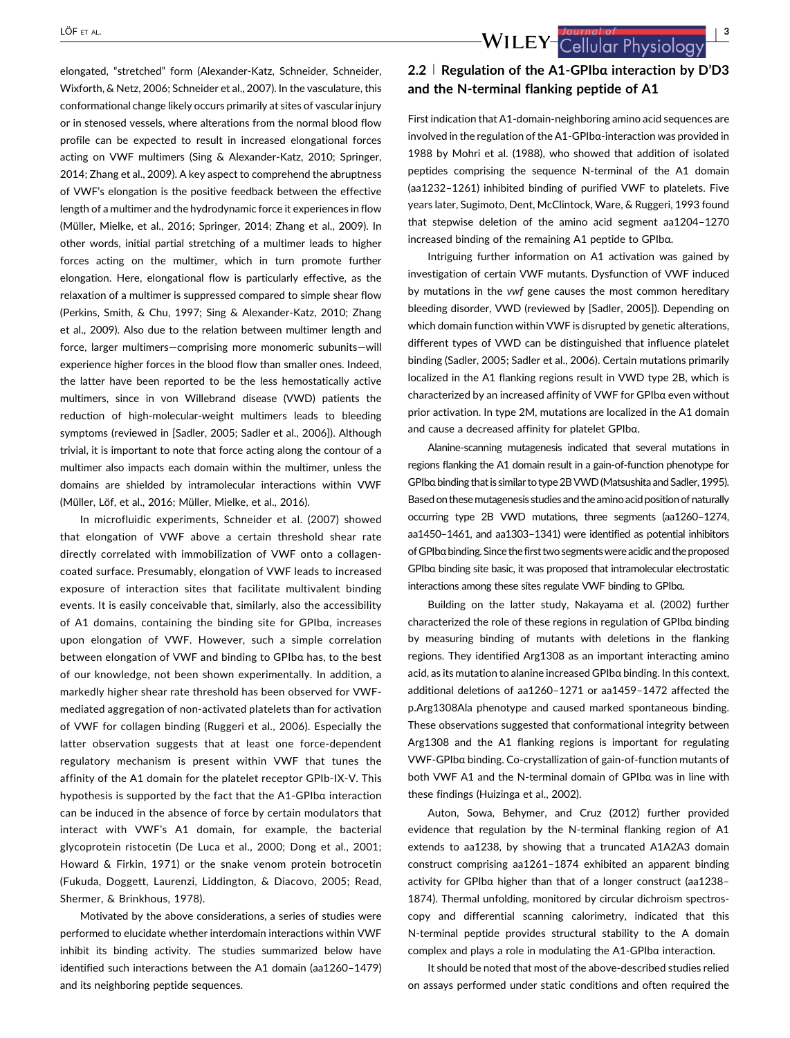elongated, "stretched" form (Alexander-Katz, Schneider, Schneider, Wixforth, & Netz, [2006](#page-8-0); Schneider et al., [2007\)](#page-10-0). In the vasculature, this conformational change likely occurs primarily at sites of vascular injury or in stenosed vessels, where alterations from the normal blood flow profile can be expected to result in increased elongational forces acting on VWF multimers (Sing & Alexander-Katz, [2010;](#page-10-0) Springer, [2014;](#page-10-0) Zhang et al., [2009\)](#page-11-0). A key aspect to comprehend the abruptness of VWF's elongation is the positive feedback between the effective length of a multimer and the hydrodynamic force it experiences in flow (Müller, Mielke, et al., [2016;](#page-9-0) Springer, [2014;](#page-10-0) Zhang et al., [2009\)](#page-11-0). In other words, initial partial stretching of a multimer leads to higher forces acting on the multimer, which in turn promote further elongation. Here, elongational flow is particularly effective, as the relaxation of a multimer is suppressed compared to simple shear flow (Perkins, Smith, & Chu, [1997](#page-10-0); Sing & Alexander-Katz, [2010;](#page-10-0) Zhang et al., [2009](#page-11-0)). Also due to the relation between multimer length and force, larger multimers—comprising more monomeric subunits—will experience higher forces in the blood flow than smaller ones. Indeed, the latter have been reported to be the less hemostatically active multimers, since in von Willebrand disease (VWD) patients the reduction of high-molecular-weight multimers leads to bleeding symptoms (reviewed in [Sadler, [2005](#page-10-0); Sadler et al., [2006](#page-10-0)]). Although trivial, it is important to note that force acting along the contour of a multimer also impacts each domain within the multimer, unless the domains are shielded by intramolecular interactions within VWF (Müller, Löf, et al., [2016](#page-9-0); Müller, Mielke, et al., [2016\)](#page-9-0).

In microfluidic experiments, Schneider et al. [\(2007](#page-10-0)) showed that elongation of VWF above a certain threshold shear rate directly correlated with immobilization of VWF onto a collagencoated surface. Presumably, elongation of VWF leads to increased exposure of interaction sites that facilitate multivalent binding events. It is easily conceivable that, similarly, also the accessibility of A1 domains, containing the binding site for GPIbα, increases upon elongation of VWF. However, such a simple correlation between elongation of VWF and binding to GPIbα has, to the best of our knowledge, not been shown experimentally. In addition, a markedly higher shear rate threshold has been observed for VWFmediated aggregation of non-activated platelets than for activation of VWF for collagen binding (Ruggeri et al., [2006\)](#page-10-0). Especially the latter observation suggests that at least one force-dependent regulatory mechanism is present within VWF that tunes the affinity of the A1 domain for the platelet receptor GPIb-IX-V. This hypothesis is supported by the fact that the A1-GPIbα interaction can be induced in the absence of force by certain modulators that interact with VWF's A1 domain, for example, the bacterial glycoprotein ristocetin (De Luca et al., [2000](#page-8-0); Dong et al., [2001;](#page-9-0) Howard & Firkin, [1971](#page-9-0)) or the snake venom protein botrocetin (Fukuda, Doggett, Laurenzi, Liddington, & Diacovo, [2005;](#page-9-0) Read, Shermer, & Brinkhous, [1978](#page-10-0)).

Motivated by the above considerations, a series of studies were performed to elucidate whether interdomain interactions within VWF inhibit its binding activity. The studies summarized below have identified such interactions between the A1 domain (aa1260–1479) and its neighboring peptide sequences.

2.2 | Regulation of the A1-GPIba interaction by D'D3 and the N-terminal flanking peptide of A1

First indication that A1-domain-neighboring amino acid sequences are involved in the regulation of the A1-GPIbα-interaction was provided in 1988 by Mohri et al. ([1988](#page-9-0)), who showed that addition of isolated peptides comprising the sequence N-terminal of the A1 domain (aa1232–1261) inhibited binding of purified VWF to platelets. Five years later, Sugimoto, Dent, McClintock, Ware, & Ruggeri, [1993](#page-10-0) found that stepwise deletion of the amino acid segment aa1204–1270 increased binding of the remaining A1 peptide to GPIbα.

Intriguing further information on A1 activation was gained by investigation of certain VWF mutants. Dysfunction of VWF induced by mutations in the vwf gene causes the most common hereditary bleeding disorder, VWD (reviewed by [Sadler, [2005\]](#page-10-0)). Depending on which domain function within VWF is disrupted by genetic alterations, different types of VWD can be distinguished that influence platelet binding (Sadler, [2005;](#page-10-0) Sadler et al., [2006\)](#page-10-0). Certain mutations primarily localized in the A1 flanking regions result in VWD type 2B, which is characterized by an increased affinity of VWF for GPIbα even without prior activation. In type 2M, mutations are localized in the A1 domain and cause a decreased affinity for platelet GPIbα.

Alanine-scanning mutagenesis indicated that several mutations in regions flanking the A1 domain result in a gain-of-function phenotype for GPIbα binding that is similar to type 2B VWD (Matsushita and Sadler, [1995](#page-9-0)). Based on these mutagenesis studies and the amino acid position of naturally occurring type 2B VWD mutations, three segments (aa1260–1274, aa1450–1461, and aa1303–1341) were identified as potential inhibitors of GPIbαbinding. Since the first two segmentswereacidic and the proposed GPIbα binding site basic, it was proposed that intramolecular electrostatic interactions among these sites regulate VWF binding to GPIbα.

Building on the latter study, Nakayama et al. [\(2002\)](#page-10-0) further characterized the role of these regions in regulation of GPIbα binding by measuring binding of mutants with deletions in the flanking regions. They identified Arg1308 as an important interacting amino acid, as its mutation to alanine increased GPIbα binding. In this context, additional deletions of aa1260–1271 or aa1459–1472 affected the p.Arg1308Ala phenotype and caused marked spontaneous binding. These observations suggested that conformational integrity between Arg1308 and the A1 flanking regions is important for regulating VWF-GPIbα binding. Co-crystallization of gain-of-function mutants of both VWF A1 and the N-terminal domain of GPIbα was in line with these findings (Huizinga et al., [2002](#page-9-0)).

Auton, Sowa, Behymer, and Cruz ([2012](#page-8-0)) further provided evidence that regulation by the N-terminal flanking region of A1 extends to aa1238, by showing that a truncated A1A2A3 domain construct comprising aa1261–1874 exhibited an apparent binding activity for GPIbα higher than that of a longer construct (aa1238– 1874). Thermal unfolding, monitored by circular dichroism spectroscopy and differential scanning calorimetry, indicated that this N-terminal peptide provides structural stability to the A domain complex and plays a role in modulating the A1-GPIbα interaction.

It should be noted that most of the above-described studies relied on assays performed under static conditions and often required the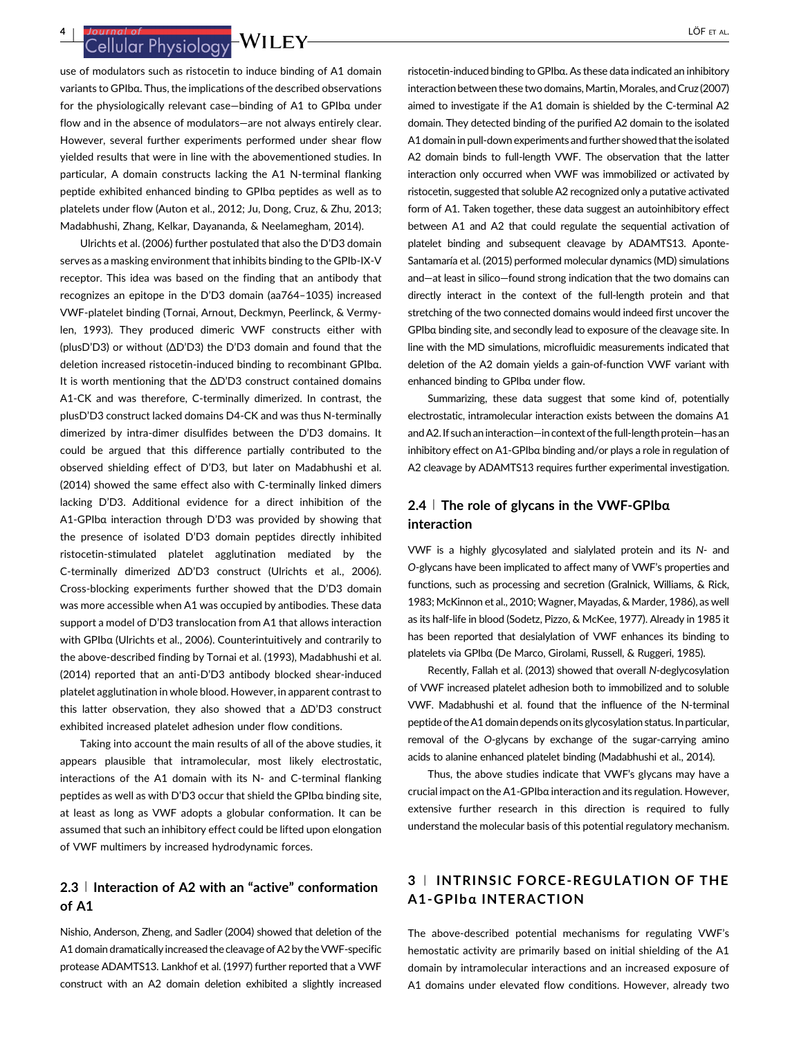Journal of the state of the state of the state of the state of the state of the state of the state of the state of the state of the state of the state of the state of the state of the state of the state of the state of the

use of modulators such as ristocetin to induce binding of A1 domain variants to GPIbα. Thus, the implications of the described observations for the physiologically relevant case—binding of A1 to GPIbα under flow and in the absence of modulators—are not always entirely clear. However, several further experiments performed under shear flow yielded results that were in line with the abovementioned studies. In particular, A domain constructs lacking the A1 N-terminal flanking peptide exhibited enhanced binding to GPIbα peptides as well as to platelets under flow (Auton et al., [2012;](#page-8-0) Ju, Dong, Cruz, & Zhu, [2013;](#page-9-0) Madabhushi, Zhang, Kelkar, Dayananda, & Neelamegham, [2014](#page-9-0)).

Ulrichts et al. ([2006](#page-10-0)) further postulated that also the D'D3 domain serves as a masking environment that inhibits binding to the GPIb-IX-V receptor. This idea was based on the finding that an antibody that recognizes an epitope in the D'D3 domain (aa764–1035) increased VWF-platelet binding (Tornai, Arnout, Deckmyn, Peerlinck, & Vermylen, [1993](#page-10-0)). They produced dimeric VWF constructs either with (plusD'D3) or without (ΔD'D3) the D'D3 domain and found that the deletion increased ristocetin-induced binding to recombinant GPIbα. It is worth mentioning that the ΔD'D3 construct contained domains A1-CK and was therefore, C-terminally dimerized. In contrast, the plusD'D3 construct lacked domains D4-CK and was thus N-terminally dimerized by intra-dimer disulfides between the D'D3 domains. It could be argued that this difference partially contributed to the observed shielding effect of D'D3, but later on Madabhushi et al. ([2014](#page-9-0)) showed the same effect also with C-terminally linked dimers lacking D'D3. Additional evidence for a direct inhibition of the A1-GPIbα interaction through D'D3 was provided by showing that the presence of isolated D'D3 domain peptides directly inhibited ristocetin-stimulated platelet agglutination mediated by the C-terminally dimerized ΔD'D3 construct (Ulrichts et al., [2006\)](#page-10-0). Cross-blocking experiments further showed that the D'D3 domain was more accessible when A1 was occupied by antibodies. These data support a model of D'D3 translocation from A1 that allows interaction with GPIbα (Ulrichts et al., [2006](#page-10-0)). Counterintuitively and contrarily to the above-described finding by Tornai et al. [\(1993\)](#page-10-0), Madabhushi et al. ([2014](#page-9-0)) reported that an anti-D'D3 antibody blocked shear-induced platelet agglutination in whole blood. However, in apparent contrast to this latter observation, they also showed that a ΔD'D3 construct exhibited increased platelet adhesion under flow conditions.

Taking into account the main results of all of the above studies, it appears plausible that intramolecular, most likely electrostatic, interactions of the A1 domain with its N- and C-terminal flanking peptides as well as with D'D3 occur that shield the GPIbα binding site, at least as long as VWF adopts a globular conformation. It can be assumed that such an inhibitory effect could be lifted upon elongation of VWF multimers by increased hydrodynamic forces.

# 2.3 <sup>|</sup> Interaction of A2 with an "active" conformation of A1

Nishio, Anderson, Zheng, and Sadler ([2004\)](#page-10-0) showed that deletion of the A1 domain dramatically increased the cleavage of A2 by the VWF-specific protease ADAMTS13. Lankhof et al. [\(1997](#page-9-0)) further reported that a VWF construct with an A2 domain deletion exhibited a slightly increased

ristocetin-induced binding to GPIbα. As these data indicated an inhibitory interaction between these two domains, Martin, Morales, and Cruz ([2007\)](#page-9-0) aimed to investigate if the A1 domain is shielded by the C-terminal A2 domain. They detected binding of the purified A2 domain to the isolated A1 domain in pull-down experiments and further showed that the isolated A2 domain binds to full-length VWF. The observation that the latter interaction only occurred when VWF was immobilized or activated by ristocetin, suggested that soluble A2 recognized only a putative activated form of A1. Taken together, these data suggest an autoinhibitory effect between A1 and A2 that could regulate the sequential activation of platelet binding and subsequent cleavage by ADAMTS13. Aponte-Santamaría et al. [\(2015](#page-8-0)) performed molecular dynamics (MD) simulations and—at least in silico—found strong indication that the two domains can directly interact in the context of the full-length protein and that stretching of the two connected domains would indeed first uncover the GPIbα binding site, and secondly lead to exposure of the cleavage site. In line with the MD simulations, microfluidic measurements indicated that deletion of the A2 domain yields a gain-of-function VWF variant with enhanced binding to GPIbα under flow.

Summarizing, these data suggest that some kind of, potentially electrostatic, intramolecular interaction exists between the domains A1 andA2.If such an interaction—in context of the full-length protein—has an inhibitory effect on A1-GPIbα binding and/or plays a role in regulation of A2 cleavage by ADAMTS13 requires further experimental investigation.

# 2.4 <sup>|</sup> The role of glycans in the VWF-GPIbα interaction

VWF is a highly glycosylated and sialylated protein and its N- and O-glycans have been implicated to affect many of VWF's properties and functions, such as processing and secretion (Gralnick, Williams, & Rick, [1983](#page-9-0); McKinnon et al., [2010](#page-9-0); Wagner, Mayadas, & Marder, [1986](#page-10-0)), as well as its half-life in blood (Sodetz, Pizzo, & McKee, [1977\)](#page-10-0). Already in 1985 it has been reported that desialylation of VWF enhances its binding to platelets via GPIbα (De Marco, Girolami, Russell, & Ruggeri, [1985](#page-9-0)).

Recently, Fallah et al. [\(2013](#page-9-0)) showed that overall N-deglycosylation of VWF increased platelet adhesion both to immobilized and to soluble VWF. Madabhushi et al. found that the influence of the N-terminal peptide of the A1 domain depends on its glycosylation status. In particular, removal of the O-glycans by exchange of the sugar-carrying amino acids to alanine enhanced platelet binding (Madabhushi et al., [2014](#page-9-0)).

Thus, the above studies indicate that VWF's glycans may have a crucial impact on the A1-GPIbα interaction and its regulation. However, extensive further research in this direction is required to fully understand the molecular basis of this potential regulatory mechanism.

# 3 <sup>|</sup> INTRINSIC FORCE-REGULATION OF THE A1-GPIbα INTERACTION

The above-described potential mechanisms for regulating VWF's hemostatic activity are primarily based on initial shielding of the A1 domain by intramolecular interactions and an increased exposure of A1 domains under elevated flow conditions. However, already two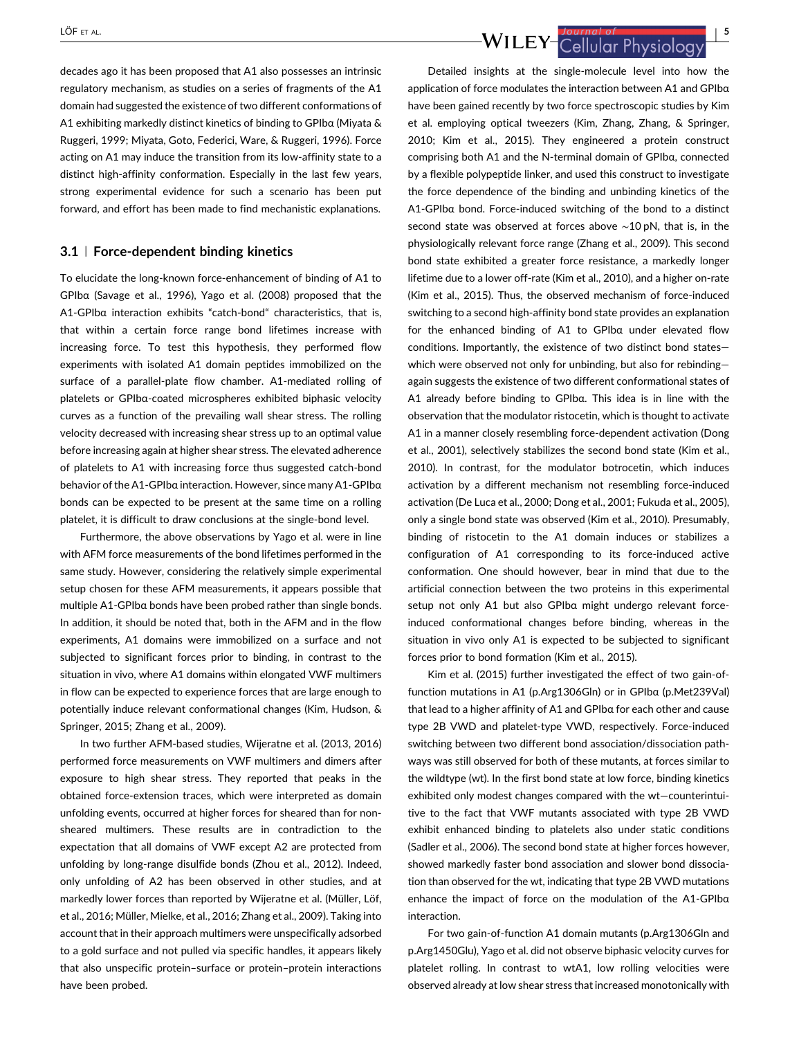decades ago it has been proposed that A1 also possesses an intrinsic regulatory mechanism, as studies on a series of fragments of the A1 domain had suggested the existence of two different conformations of A1 exhibiting markedly distinct kinetics of binding to GPIbα (Miyata & Ruggeri, [1999;](#page-9-0) Miyata, Goto, Federici, Ware, & Ruggeri, [1996\)](#page-9-0). Force acting on A1 may induce the transition from its low-affinity state to a distinct high-affinity conformation. Especially in the last few years, strong experimental evidence for such a scenario has been put forward, and effort has been made to find mechanistic explanations.

### 3.1 <sup>|</sup> Force-dependent binding kinetics

To elucidate the long-known force-enhancement of binding of A1 to GPIbα (Savage et al., [1996](#page-10-0)), Yago et al. [\(2008\)](#page-10-0) proposed that the A1-GPIbα interaction exhibits "catch-bond" characteristics, that is, that within a certain force range bond lifetimes increase with increasing force. To test this hypothesis, they performed flow experiments with isolated A1 domain peptides immobilized on the surface of a parallel-plate flow chamber. A1-mediated rolling of platelets or GPIbα-coated microspheres exhibited biphasic velocity curves as a function of the prevailing wall shear stress. The rolling velocity decreased with increasing shear stress up to an optimal value before increasing again at higher shear stress. The elevated adherence of platelets to A1 with increasing force thus suggested catch-bond behavior of the A1-GPIbα interaction. However, since many A1-GPIbα bonds can be expected to be present at the same time on a rolling platelet, it is difficult to draw conclusions at the single-bond level.

Furthermore, the above observations by Yago et al. were in line with AFM force measurements of the bond lifetimes performed in the same study. However, considering the relatively simple experimental setup chosen for these AFM measurements, it appears possible that multiple A1-GPIbα bonds have been probed rather than single bonds. In addition, it should be noted that, both in the AFM and in the flow experiments, A1 domains were immobilized on a surface and not subjected to significant forces prior to binding, in contrast to the situation in vivo, where A1 domains within elongated VWF multimers in flow can be expected to experience forces that are large enough to potentially induce relevant conformational changes (Kim, Hudson, & Springer, [2015;](#page-9-0) Zhang et al., [2009](#page-11-0)).

In two further AFM-based studies, Wijeratne et al. [\(2013, 2016\)](#page-10-0) performed force measurements on VWF multimers and dimers after exposure to high shear stress. They reported that peaks in the obtained force-extension traces, which were interpreted as domain unfolding events, occurred at higher forces for sheared than for nonsheared multimers. These results are in contradiction to the expectation that all domains of VWF except A2 are protected from unfolding by long-range disulfide bonds (Zhou et al., [2012\)](#page-11-0). Indeed, only unfolding of A2 has been observed in other studies, and at markedly lower forces than reported by Wijeratne et al. (Müller, Löf, et al., [2016;](#page-9-0) Müller, Mielke, et al., [2016](#page-9-0); Zhang et al., [2009\)](#page-11-0). Taking into account that in their approach multimers were unspecifically adsorbed to a gold surface and not pulled via specific handles, it appears likely that also unspecific protein–surface or protein–protein interactions have been probed.

LÖF ET AL.<br>WILEY-Cellular Physiology (1995)

Detailed insights at the single-molecule level into how the application of force modulates the interaction between A1 and GPIbα have been gained recently by two force spectroscopic studies by Kim et al. employing optical tweezers (Kim, Zhang, Zhang, & Springer, [2010](#page-9-0); Kim et al., [2015](#page-9-0)). They engineered a protein construct comprising both A1 and the N-terminal domain of GPIbα, connected by a flexible polypeptide linker, and used this construct to investigate the force dependence of the binding and unbinding kinetics of the A1-GPIbα bond. Force-induced switching of the bond to a distinct second state was observed at forces above ∼10 pN, that is, in the physiologically relevant force range (Zhang et al., [2009\)](#page-11-0). This second bond state exhibited a greater force resistance, a markedly longer lifetime due to a lower off-rate (Kim et al., [2010](#page-9-0)), and a higher on-rate (Kim et al., [2015](#page-9-0)). Thus, the observed mechanism of force-induced switching to a second high-affinity bond state provides an explanation for the enhanced binding of A1 to GPIbα under elevated flow conditions. Importantly, the existence of two distinct bond states which were observed not only for unbinding, but also for rebindingagain suggests the existence of two different conformational states of A1 already before binding to GPIbα. This idea is in line with the observation that the modulator ristocetin, which is thought to activate A1 in a manner closely resembling force-dependent activation (Dong et al., [2001](#page-9-0)), selectively stabilizes the second bond state (Kim et al., [2010](#page-9-0)). In contrast, for the modulator botrocetin, which induces activation by a different mechanism not resembling force-induced activation (De Luca et al., [2000;](#page-8-0) Dong et al., [2001;](#page-9-0) Fukuda et al., [2005\)](#page-9-0), only a single bond state was observed (Kim et al., [2010](#page-9-0)). Presumably, binding of ristocetin to the A1 domain induces or stabilizes a configuration of A1 corresponding to its force-induced active conformation. One should however, bear in mind that due to the artificial connection between the two proteins in this experimental setup not only A1 but also GPIbα might undergo relevant forceinduced conformational changes before binding, whereas in the situation in vivo only A1 is expected to be subjected to significant forces prior to bond formation (Kim et al., [2015](#page-9-0)).

Kim et al. ([2015](#page-9-0)) further investigated the effect of two gain-offunction mutations in A1 (p.Arg1306Gln) or in GPIbα (p.Met239Val) that lead to a higher affinity of A1 and GPIbα for each other and cause type 2B VWD and platelet-type VWD, respectively. Force-induced switching between two different bond association/dissociation pathways was still observed for both of these mutants, at forces similar to the wildtype (wt). In the first bond state at low force, binding kinetics exhibited only modest changes compared with the wt—counterintuitive to the fact that VWF mutants associated with type 2B VWD exhibit enhanced binding to platelets also under static conditions (Sadler et al., [2006\)](#page-10-0). The second bond state at higher forces however, showed markedly faster bond association and slower bond dissociation than observed for the wt, indicating that type 2B VWD mutations enhance the impact of force on the modulation of the A1-GPIbα interaction.

For two gain-of-function A1 domain mutants (p.Arg1306Gln and p.Arg1450Glu), Yago et al. did not observe biphasic velocity curves for platelet rolling. In contrast to wtA1, low rolling velocities were observed already at low shear stress that increased monotonically with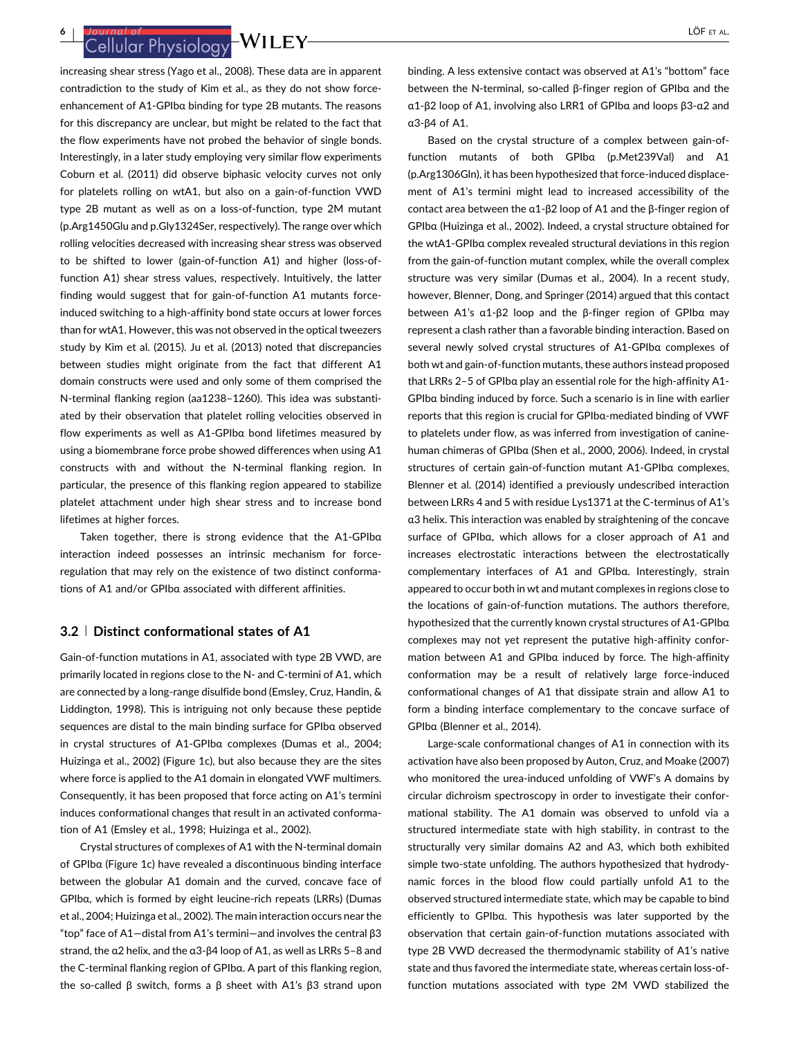Journal of the studies of the studies of the studies of the studies of the studies of the studies of the studies of  $\frac{10}{2}$  LÖF ET AL.

increasing shear stress (Yago et al., [2008\)](#page-10-0). These data are in apparent contradiction to the study of Kim et al., as they do not show forceenhancement of A1-GPIbα binding for type 2B mutants. The reasons for this discrepancy are unclear, but might be related to the fact that the flow experiments have not probed the behavior of single bonds. Interestingly, in a later study employing very similar flow experiments Coburn et al. ([2011](#page-8-0)) did observe biphasic velocity curves not only for platelets rolling on wtA1, but also on a gain-of-function VWD type 2B mutant as well as on a loss-of-function, type 2M mutant (p.Arg1450Glu and p.Gly1324Ser, respectively). The range over which rolling velocities decreased with increasing shear stress was observed to be shifted to lower (gain-of-function A1) and higher (loss-offunction A1) shear stress values, respectively. Intuitively, the latter finding would suggest that for gain-of-function A1 mutants forceinduced switching to a high-affinity bond state occurs at lower forces than for wtA1. However, this was not observed in the optical tweezers study by Kim et al. [\(2015\)](#page-9-0). Ju et al. ([2013](#page-9-0)) noted that discrepancies between studies might originate from the fact that different A1 domain constructs were used and only some of them comprised the N-terminal flanking region (aa1238–1260). This idea was substantiated by their observation that platelet rolling velocities observed in flow experiments as well as A1-GPIbα bond lifetimes measured by using a biomembrane force probe showed differences when using A1 constructs with and without the N-terminal flanking region. In particular, the presence of this flanking region appeared to stabilize platelet attachment under high shear stress and to increase bond lifetimes at higher forces.

Taken together, there is strong evidence that the A1-GPIbα interaction indeed possesses an intrinsic mechanism for forceregulation that may rely on the existence of two distinct conformations of A1 and/or GPIbα associated with different affinities.

## 3.2 <sup>|</sup> Distinct conformational states of A1

Gain-of-function mutations in A1, associated with type 2B VWD, are primarily located in regions close to the N- and C-termini of A1, which are connected by a long-range disulfide bond (Emsley, Cruz, Handin, & Liddington, [1998\)](#page-9-0). This is intriguing not only because these peptide sequences are distal to the main binding surface for GPIbα observed in crystal structures of A1-GPIbα complexes (Dumas et al., [2004;](#page-9-0) Huizinga et al., [2002](#page-9-0)) (Figure 1c), but also because they are the sites where force is applied to the A1 domain in elongated VWF multimers. Consequently, it has been proposed that force acting on A1's termini induces conformational changes that result in an activated conformation of A1 (Emsley et al., [1998](#page-9-0); Huizinga et al., [2002\)](#page-9-0).

Crystal structures of complexes of A1 with the N-terminal domain of GPIbα (Figure 1c) have revealed a discontinuous binding interface between the globular A1 domain and the curved, concave face of GPIbα, which is formed by eight leucine-rich repeats (LRRs) (Dumas et al., [2004](#page-9-0); Huizinga et al., [2002\)](#page-9-0). The main interaction occurs near the "top" face of A1—distal from A1's termini—and involves the central β3 strand, the α2 helix, and the α3-β4 loop of A1, as well as LRRs 5–8 and the C-terminal flanking region of GPIbα. A part of this flanking region, the so-called β switch, forms a β sheet with A1's β3 strand upon

binding. A less extensive contact was observed at A1's "bottom" face between the N-terminal, so-called β-finger region of GPIbα and the α1-β2 loop of A1, involving also LRR1 of GPIbα and loops β3-α2 and α3-β4 of A1.

Based on the crystal structure of a complex between gain-offunction mutants of both GPIbα (p.Met239Val) and A1 (p.Arg1306Gln), it has been hypothesized that force-induced displacement of A1's termini might lead to increased accessibility of the contact area between the α1-β2 loop of A1 and the β-finger region of GPIbα (Huizinga et al., [2002](#page-9-0)). Indeed, a crystal structure obtained for the wtA1-GPIbα complex revealed structural deviations in this region from the gain-of-function mutant complex, while the overall complex structure was very similar (Dumas et al., [2004\)](#page-9-0). In a recent study, however, Blenner, Dong, and Springer [\(2014\)](#page-8-0) argued that this contact between A1's α1-β2 loop and the β-finger region of GPIbα may represent a clash rather than a favorable binding interaction. Based on several newly solved crystal structures of A1-GPIbα complexes of both wt and gain-of-function mutants, these authors instead proposed that LRRs 2–5 of GPIbα play an essential role for the high-affinity A1- GPIbα binding induced by force. Such a scenario is in line with earlier reports that this region is crucial for GPIbα-mediated binding of VWF to platelets under flow, as was inferred from investigation of caninehuman chimeras of GPIbα (Shen et al., [2000, 2006](#page-10-0)). Indeed, in crystal structures of certain gain-of-function mutant A1-GPIbα complexes, Blenner et al. ([2014](#page-8-0)) identified a previously undescribed interaction between LRRs 4 and 5 with residue Lys1371 at the C-terminus of A1's α3 helix. This interaction was enabled by straightening of the concave surface of GPIbα, which allows for a closer approach of A1 and increases electrostatic interactions between the electrostatically complementary interfaces of A1 and GPIbα. Interestingly, strain appeared to occur both in wt and mutant complexes in regions close to the locations of gain-of-function mutations. The authors therefore, hypothesized that the currently known crystal structures of A1-GPIbα complexes may not yet represent the putative high-affinity conformation between A1 and GPIbα induced by force. The high-affinity conformation may be a result of relatively large force-induced conformational changes of A1 that dissipate strain and allow A1 to form a binding interface complementary to the concave surface of GPIbα (Blenner et al., [2014\)](#page-8-0).

Large-scale conformational changes of A1 in connection with its activation have also been proposed by Auton, Cruz, and Moake [\(2007\)](#page-8-0) who monitored the urea-induced unfolding of VWF's A domains by circular dichroism spectroscopy in order to investigate their conformational stability. The A1 domain was observed to unfold via a structured intermediate state with high stability, in contrast to the structurally very similar domains A2 and A3, which both exhibited simple two-state unfolding. The authors hypothesized that hydrodynamic forces in the blood flow could partially unfold A1 to the observed structured intermediate state, which may be capable to bind efficiently to GPIbα. This hypothesis was later supported by the observation that certain gain-of-function mutations associated with type 2B VWD decreased the thermodynamic stability of A1's native state and thus favored the intermediate state, whereas certain loss-offunction mutations associated with type 2M VWD stabilized the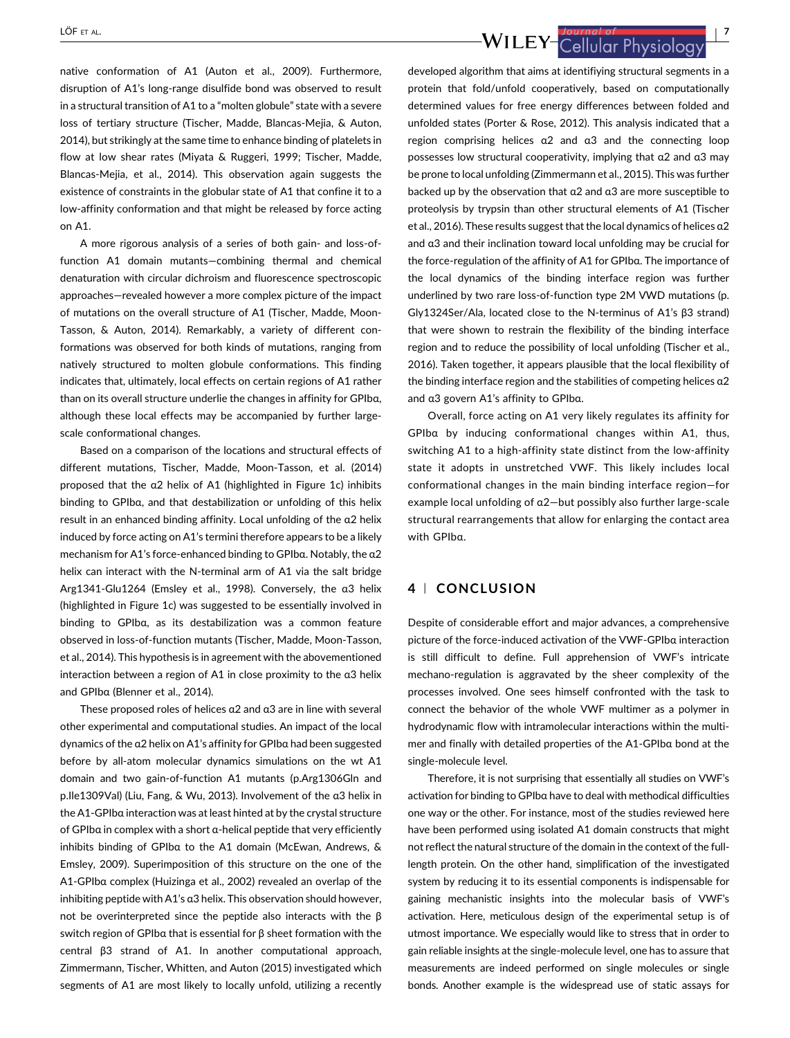LÖF ET AL. JOURNAL OF LABOURDED TO A LOCAL LOG ET AL.

native conformation of A1 (Auton et al., [2009](#page-8-0)). Furthermore, disruption of A1's long-range disulfide bond was observed to result in a structural transition of A1 to a "molten globule" state with a severe loss of tertiary structure (Tischer, Madde, Blancas-Mejia, & Auton, [2014\)](#page-10-0), but strikingly at the same time to enhance binding of platelets in flow at low shear rates (Miyata & Ruggeri, [1999;](#page-9-0) Tischer, Madde, Blancas-Mejia, et al., [2014\)](#page-10-0). This observation again suggests the existence of constraints in the globular state of A1 that confine it to a low-affinity conformation and that might be released by force acting on A1.

A more rigorous analysis of a series of both gain- and loss-offunction A1 domain mutants—combining thermal and chemical denaturation with circular dichroism and fluorescence spectroscopic approaches—revealed however a more complex picture of the impact of mutations on the overall structure of A1 (Tischer, Madde, Moon-Tasson, & Auton, [2014\)](#page-10-0). Remarkably, a variety of different conformations was observed for both kinds of mutations, ranging from natively structured to molten globule conformations. This finding indicates that, ultimately, local effects on certain regions of A1 rather than on its overall structure underlie the changes in affinity for GPIbα, although these local effects may be accompanied by further largescale conformational changes.

Based on a comparison of the locations and structural effects of different mutations, Tischer, Madde, Moon-Tasson, et al. [\(2014\)](#page-10-0) proposed that the α2 helix of A1 (highlighted in Figure 1c) inhibits binding to GPIbα, and that destabilization or unfolding of this helix result in an enhanced binding affinity. Local unfolding of the α2 helix induced by force acting on A1's termini therefore appears to be a likely mechanism for A1's force-enhanced binding to GPIbα. Notably, the α2 helix can interact with the N-terminal arm of A1 via the salt bridge Arg1341-Glu1264 (Emsley et al., [1998\)](#page-9-0). Conversely, the α3 helix (highlighted in Figure 1c) was suggested to be essentially involved in binding to GPIbα, as its destabilization was a common feature observed in loss-of-function mutants (Tischer, Madde, Moon-Tasson, et al., [2014\)](#page-10-0). This hypothesis is in agreement with the abovementioned interaction between a region of A1 in close proximity to the α3 helix and GPIbα (Blenner et al., [2014](#page-8-0)).

These proposed roles of helices α2 and α3 are in line with several other experimental and computational studies. An impact of the local dynamics of the α2 helix on A1's affinity for GPIbα had been suggested before by all-atom molecular dynamics simulations on the wt A1 domain and two gain-of-function A1 mutants (p.Arg1306Gln and p.Ile1309Val) (Liu, Fang, & Wu, [2013](#page-9-0)). Involvement of the α3 helix in the A1-GPIbα interaction was at least hinted at by the crystal structure of GPIbα in complex with a short α-helical peptide that very efficiently inhibits binding of GPIbα to the A1 domain (McEwan, Andrews, & Emsley, [2009\)](#page-9-0). Superimposition of this structure on the one of the A1-GPIbα complex (Huizinga et al., [2002](#page-9-0)) revealed an overlap of the inhibiting peptide with A1's α3 helix. This observation should however, not be overinterpreted since the peptide also interacts with the  $β$ switch region of GPIbα that is essential for β sheet formation with the central β3 strand of A1. In another computational approach, Zimmermann, Tischer, Whitten, and Auton [\(2015\)](#page-11-0) investigated which segments of A1 are most likely to locally unfold, utilizing a recently

developed algorithm that aims at identifiying structural segments in a protein that fold/unfold cooperatively, based on computationally determined values for free energy differences between folded and unfolded states (Porter & Rose, [2012\)](#page-10-0). This analysis indicated that a region comprising helices α2 and α3 and the connecting loop possesses low structural cooperativity, implying that α2 and α3 may be prone to local unfolding (Zimmermann et al., [2015\)](#page-11-0). This was further backed up by the observation that α2 and α3 are more susceptible to proteolysis by trypsin than other structural elements of A1 (Tischer et al., [2016\)](#page-10-0). These results suggest that the local dynamics of helices α2 and α3 and their inclination toward local unfolding may be crucial for the force-regulation of the affinity of A1 for GPIbα. The importance of the local dynamics of the binding interface region was further underlined by two rare loss-of-function type 2M VWD mutations (p. Gly1324Ser/Ala, located close to the N-terminus of A1's β3 strand) that were shown to restrain the flexibility of the binding interface region and to reduce the possibility of local unfolding (Tischer et al., [2016](#page-10-0)). Taken together, it appears plausible that the local flexibility of the binding interface region and the stabilities of competing helices α2 and α3 govern A1's affinity to GPIbα.

Overall, force acting on A1 very likely regulates its affinity for GPIbα by inducing conformational changes within A1, thus, switching A1 to a high-affinity state distinct from the low-affinity state it adopts in unstretched VWF. This likely includes local conformational changes in the main binding interface region—for example local unfolding of α2—but possibly also further large-scale structural rearrangements that allow for enlarging the contact area with GPIbα.

# 4 <sup>|</sup> CONCLUSION

Despite of considerable effort and major advances, a comprehensive picture of the force-induced activation of the VWF-GPIbα interaction is still difficult to define. Full apprehension of VWF's intricate mechano-regulation is aggravated by the sheer complexity of the processes involved. One sees himself confronted with the task to connect the behavior of the whole VWF multimer as a polymer in hydrodynamic flow with intramolecular interactions within the multimer and finally with detailed properties of the A1-GPIbα bond at the single-molecule level.

Therefore, it is not surprising that essentially all studies on VWF's activation for binding to GPIbα have to deal with methodical difficulties one way or the other. For instance, most of the studies reviewed here have been performed using isolated A1 domain constructs that might not reflect the natural structure of the domain in the context of the fulllength protein. On the other hand, simplification of the investigated system by reducing it to its essential components is indispensable for gaining mechanistic insights into the molecular basis of VWF's activation. Here, meticulous design of the experimental setup is of utmost importance. We especially would like to stress that in order to gain reliable insights at the single-molecule level, one has to assure that measurements are indeed performed on single molecules or single bonds. Another example is the widespread use of static assays for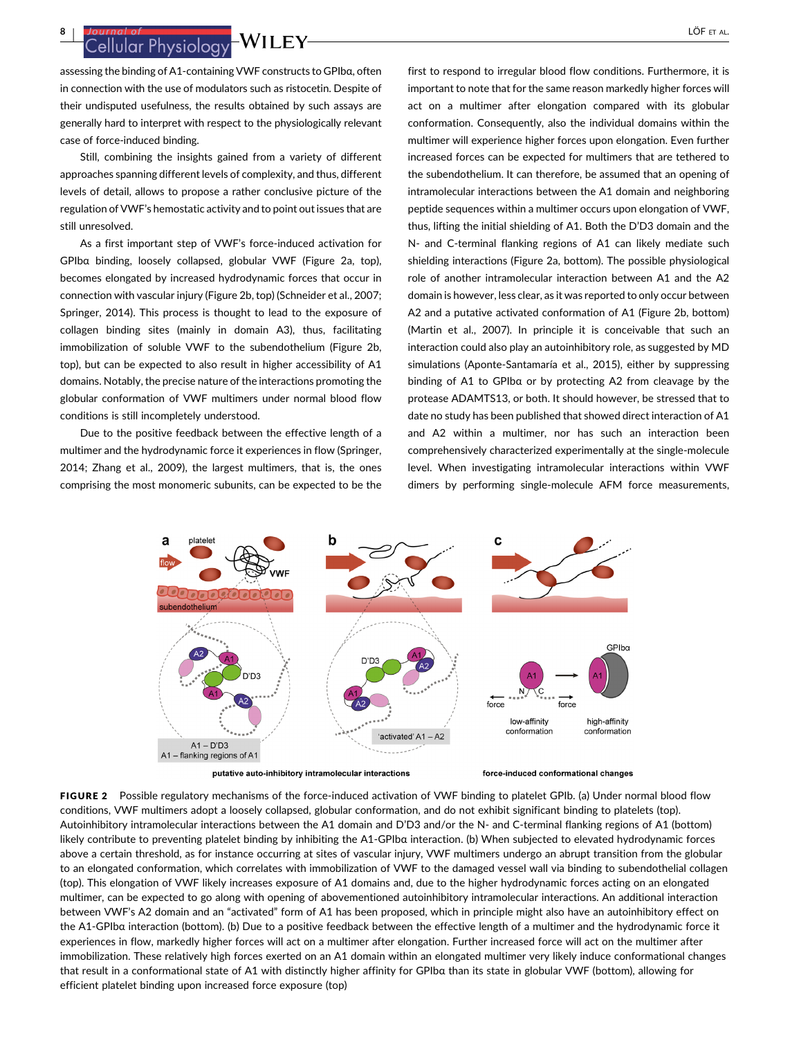assessing the binding of A1-containing VWF constructs to GPIbα, often in connection with the use of modulators such as ristocetin. Despite of their undisputed usefulness, the results obtained by such assays are generally hard to interpret with respect to the physiologically relevant case of force-induced binding.

Still, combining the insights gained from a variety of different approaches spanning different levels of complexity, and thus, different levels of detail, allows to propose a rather conclusive picture of the regulation of VWF's hemostatic activity and to point out issues that are still unresolved.

As a first important step of VWF's force-induced activation for GPIbα binding, loosely collapsed, globular VWF (Figure 2a, top), becomes elongated by increased hydrodynamic forces that occur in connection with vascular injury (Figure 2b, top) (Schneider et al., [2007;](#page-10-0) Springer, [2014](#page-10-0)). This process is thought to lead to the exposure of collagen binding sites (mainly in domain A3), thus, facilitating immobilization of soluble VWF to the subendothelium (Figure 2b, top), but can be expected to also result in higher accessibility of A1 domains. Notably, the precise nature of the interactions promoting the globular conformation of VWF multimers under normal blood flow conditions is still incompletely understood.

Due to the positive feedback between the effective length of a multimer and the hydrodynamic force it experiences in flow (Springer, [2014;](#page-10-0) Zhang et al., [2009](#page-11-0)), the largest multimers, that is, the ones comprising the most monomeric subunits, can be expected to be the

first to respond to irregular blood flow conditions. Furthermore, it is important to note that for the same reason markedly higher forces will act on a multimer after elongation compared with its globular conformation. Consequently, also the individual domains within the multimer will experience higher forces upon elongation. Even further increased forces can be expected for multimers that are tethered to the subendothelium. It can therefore, be assumed that an opening of intramolecular interactions between the A1 domain and neighboring peptide sequences within a multimer occurs upon elongation of VWF, thus, lifting the initial shielding of A1. Both the D'D3 domain and the N- and C-terminal flanking regions of A1 can likely mediate such shielding interactions (Figure 2a, bottom). The possible physiological role of another intramolecular interaction between A1 and the A2 domain is however, less clear, as it was reported to only occur between A2 and a putative activated conformation of A1 (Figure 2b, bottom) (Martin et al., [2007](#page-9-0)). In principle it is conceivable that such an interaction could also play an autoinhibitory role, as suggested by MD simulations (Aponte-Santamaría et al., [2015](#page-8-0)), either by suppressing binding of A1 to GPIbα or by protecting A2 from cleavage by the protease ADAMTS13, or both. It should however, be stressed that to date no study has been published that showed direct interaction of A1 and A2 within a multimer, nor has such an interaction been comprehensively characterized experimentally at the single-molecule level. When investigating intramolecular interactions within VWF dimers by performing single-molecule AFM force measurements,



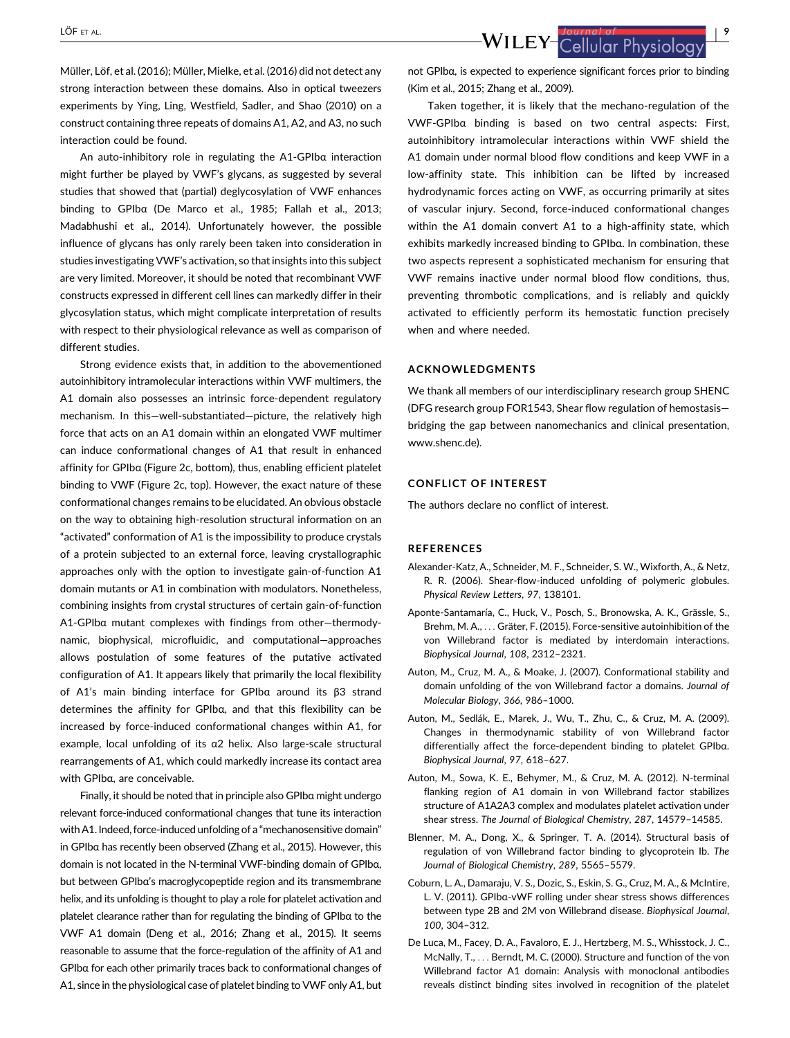<span id="page-8-0"></span>LÖF ET AL.<br>WILEY-Cellular Physiology (1995)

Müller, Löf, et al. [\(2016\)](#page-9-0); Müller, Mielke, et al. [\(2016\)](#page-9-0) did not detect any strong interaction between these domains. Also in optical tweezers experiments by Ying, Ling, Westfield, Sadler, and Shao ([2010](#page-10-0)) on a construct containing three repeats of domains A1, A2, and A3, no such interaction could be found.

An auto-inhibitory role in regulating the A1-GPIbα interaction might further be played by VWF's glycans, as suggested by several studies that showed that (partial) deglycosylation of VWF enhances binding to GPIbα (De Marco et al., [1985](#page-9-0); Fallah et al., [2013;](#page-9-0) Madabhushi et al., [2014\)](#page-9-0). Unfortunately however, the possible influence of glycans has only rarely been taken into consideration in studies investigating VWF's activation, so that insights into this subject are very limited. Moreover, it should be noted that recombinant VWF constructs expressed in different cell lines can markedly differ in their glycosylation status, which might complicate interpretation of results with respect to their physiological relevance as well as comparison of different studies.

Strong evidence exists that, in addition to the abovementioned autoinhibitory intramolecular interactions within VWF multimers, the A1 domain also possesses an intrinsic force-dependent regulatory mechanism. In this—well-substantiated—picture, the relatively high force that acts on an A1 domain within an elongated VWF multimer can induce conformational changes of A1 that result in enhanced affinity for GPIbα (Figure 2c, bottom), thus, enabling efficient platelet binding to VWF (Figure 2c, top). However, the exact nature of these conformational changes remains to be elucidated. An obvious obstacle on the way to obtaining high-resolution structural information on an "activated" conformation of A1 is the impossibility to produce crystals of a protein subjected to an external force, leaving crystallographic approaches only with the option to investigate gain-of-function A1 domain mutants or A1 in combination with modulators. Nonetheless, combining insights from crystal structures of certain gain-of-function A1-GPIbα mutant complexes with findings from other—thermodynamic, biophysical, microfluidic, and computational—approaches allows postulation of some features of the putative activated configuration of A1. It appears likely that primarily the local flexibility of A1's main binding interface for GPIbα around its β3 strand determines the affinity for GPIbα, and that this flexibility can be increased by force-induced conformational changes within A1, for example, local unfolding of its α2 helix. Also large-scale structural rearrangements of A1, which could markedly increase its contact area with GPIbα, are conceivable.

Finally, it should be noted that in principle also GPIbα might undergo relevant force-induced conformational changes that tune its interaction with A1. Indeed, force-induced unfolding of a "mechanosensitive domain" in GPIbα has recently been observed (Zhang et al., [2015\)](#page-10-0). However, this domain is not located in the N-terminal VWF-binding domain of GPIbα, but between GPIbα's macroglycopeptide region and its transmembrane helix, and its unfolding is thought to play a role for platelet activation and platelet clearance rather than for regulating the binding of GPIbα to the VWF A1 domain (Deng et al., [2016](#page-9-0); Zhang et al., [2015\)](#page-10-0). It seems reasonable to assume that the force-regulation of the affinity of A1 and GPIbα for each other primarily traces back to conformational changes of A1, since in the physiological case of platelet binding to VWF only A1, but

not GPIbα, is expected to experience significant forces prior to binding (Kim et al., [2015](#page-9-0); Zhang et al., [2009\)](#page-11-0).

Taken together, it is likely that the mechano-regulation of the VWF-GPIbα binding is based on two central aspects: First, autoinhibitory intramolecular interactions within VWF shield the A1 domain under normal blood flow conditions and keep VWF in a low-affinity state. This inhibition can be lifted by increased hydrodynamic forces acting on VWF, as occurring primarily at sites of vascular injury. Second, force-induced conformational changes within the A1 domain convert A1 to a high-affinity state, which exhibits markedly increased binding to GPIbα. In combination, these two aspects represent a sophisticated mechanism for ensuring that VWF remains inactive under normal blood flow conditions, thus, preventing thrombotic complications, and is reliably and quickly activated to efficiently perform its hemostatic function precisely when and where needed.

#### ACKNOWLEDGMENTS

We thank all members of our interdisciplinary research group SHENC (DFG research group FOR1543, Shear flow regulation of hemostasis bridging the gap between nanomechanics and clinical presentation, [www.shenc.de](http://www.shenc.de)).

#### CONFLICT OF INTEREST

The authors declare no conflict of interest.

#### REFERENCES

- Alexander-Katz, A., Schneider, M. F., Schneider, S. W., Wixforth, A., & Netz, R. R. (2006). Shear-flow-induced unfolding of polymeric globules. Physical Review Letters, 97, 138101.
- Aponte-Santamaría, C., Huck, V., Posch, S., Bronowska, A. K., Grässle, S., Brehm, M. A., ... Gräter, F. (2015). Force-sensitive autoinhibition of the von Willebrand factor is mediated by interdomain interactions. Biophysical Journal, 108, 2312–2321.
- Auton, M., Cruz, M. A., & Moake, J. (2007). Conformational stability and domain unfolding of the von Willebrand factor a domains. Journal of Molecular Biology, 366, 986–1000.
- Auton, M., Sedlák, E., Marek, J., Wu, T., Zhu, C., & Cruz, M. A. (2009). Changes in thermodynamic stability of von Willebrand factor differentially affect the force-dependent binding to platelet GPIbα. Biophysical Journal, 97, 618–627.
- Auton, M., Sowa, K. E., Behymer, M., & Cruz, M. A. (2012). N-terminal flanking region of A1 domain in von Willebrand factor stabilizes structure of A1A2A3 complex and modulates platelet activation under shear stress. The Journal of Biological Chemistry, 287, 14579–14585.
- Blenner, M. A., Dong, X., & Springer, T. A. (2014). Structural basis of regulation of von Willebrand factor binding to glycoprotein Ib. The Journal of Biological Chemistry, 289, 5565–5579.
- Coburn, L. A., Damaraju, V. S., Dozic, S., Eskin, S. G., Cruz, M. A., & McIntire, L. V. (2011). GPIbα-vWF rolling under shear stress shows differences between type 2B and 2M von Willebrand disease. Biophysical Journal, 100, 304–312.
- De Luca, M., Facey, D. A., Favaloro, E. J., Hertzberg, M. S., Whisstock, J. C., McNally, T., ... Berndt, M. C. (2000). Structure and function of the von Willebrand factor A1 domain: Analysis with monoclonal antibodies reveals distinct binding sites involved in recognition of the platelet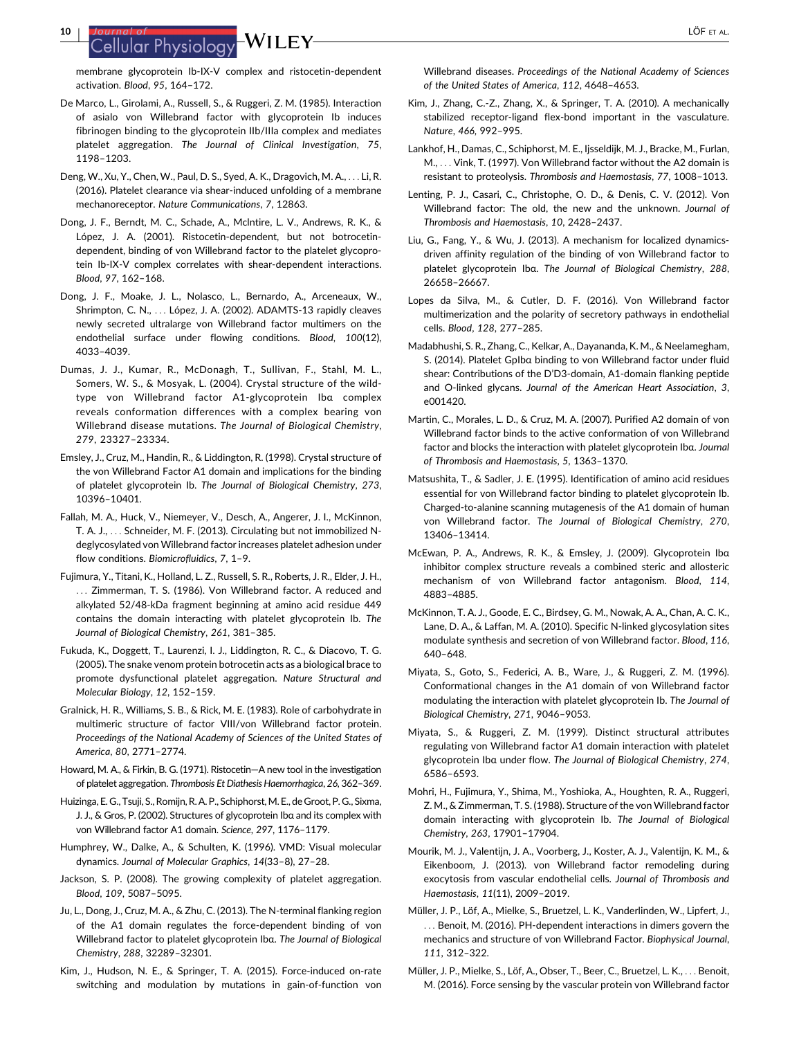# <span id="page-9-0"></span><sup>10</sup> <sup>|</sup> LÖF ET AL.

membrane glycoprotein Ib-IX-V complex and ristocetin-dependent activation. Blood, 95, 164–172.

- De Marco, L., Girolami, A., Russell, S., & Ruggeri, Z. M. (1985). Interaction of asialo von Willebrand factor with glycoprotein Ib induces fibrinogen binding to the glycoprotein IIb/IIIa complex and mediates platelet aggregation. The Journal of Clinical Investigation, 75, 1198–1203.
- Deng, W., Xu, Y., Chen, W., Paul, D. S., Syed, A. K., Dragovich, M. A., ... Li, R. (2016). Platelet clearance via shear-induced unfolding of a membrane mechanoreceptor. Nature Communications, 7, 12863.
- Dong, J. F., Berndt, M. C., Schade, A., Mclntire, L. V., Andrews, R. K., & López, J. A. (2001). Ristocetin-dependent, but not botrocetindependent, binding of von Willebrand factor to the platelet glycoprotein Ib-IX-V complex correlates with shear-dependent interactions. Blood, 97, 162–168.
- Dong, J. F., Moake, J. L., Nolasco, L., Bernardo, A., Arceneaux, W., Shrimpton, C. N., ... López, J. A. (2002). ADAMTS-13 rapidly cleaves newly secreted ultralarge von Willebrand factor multimers on the endothelial surface under flowing conditions. Blood, 100(12), 4033–4039.
- Dumas, J. J., Kumar, R., McDonagh, T., Sullivan, F., Stahl, M. L., Somers, W. S., & Mosyak, L. (2004). Crystal structure of the wildtype von Willebrand factor A1-glycoprotein Ibα complex reveals conformation differences with a complex bearing von Willebrand disease mutations. The Journal of Biological Chemistry, 279, 23327–23334.
- Emsley, J., Cruz, M., Handin, R., & Liddington, R. (1998). Crystal structure of the von Willebrand Factor A1 domain and implications for the binding of platelet glycoprotein Ib. The Journal of Biological Chemistry, 273, 10396–10401.
- Fallah, M. A., Huck, V., Niemeyer, V., Desch, A., Angerer, J. I., McKinnon, T. A. J., ... Schneider, M. F. (2013). Circulating but not immobilized Ndeglycosylated von Willebrand factor increases platelet adhesion under flow conditions. Biomicrofluidics, 7, 1–9.
- Fujimura, Y., Titani, K., Holland, L. Z., Russell, S. R., Roberts, J. R., Elder, J. H., ... Zimmerman, T. S. (1986). Von Willebrand factor. A reduced and alkylated 52/48-kDa fragment beginning at amino acid residue 449 contains the domain interacting with platelet glycoprotein Ib. The Journal of Biological Chemistry, 261, 381–385.
- Fukuda, K., Doggett, T., Laurenzi, I. J., Liddington, R. C., & Diacovo, T. G. (2005). The snake venom protein botrocetin acts as a biological brace to promote dysfunctional platelet aggregation. Nature Structural and Molecular Biology, 12, 152–159.
- Gralnick, H. R., Williams, S. B., & Rick, M. E. (1983). Role of carbohydrate in multimeric structure of factor VIII/von Willebrand factor protein. Proceedings of the National Academy of Sciences of the United States of America, 80, 2771–2774.
- Howard, M. A., & Firkin, B. G. (1971). Ristocetin—A new tool in the investigation of platelet aggregation. Thrombosis Et Diathesis Haemorrhagica, 26, 362–369.
- Huizinga, E. G., Tsuji, S., Romijn, R. A. P., Schiphorst, M. E., de Groot, P. G., Sixma, J. J., & Gros, P. (2002). Structures of glycoprotein Ibα and its complex with von Willebrand factor A1 domain. Science, 297, 1176–1179.
- Humphrey, W., Dalke, A., & Schulten, K. (1996). VMD: Visual molecular dynamics. Journal of Molecular Graphics, 14(33–8), 27–28.
- Jackson, S. P. (2008). The growing complexity of platelet aggregation. Blood, 109, 5087–5095.
- Ju, L., Dong, J., Cruz, M. A., & Zhu, C. (2013). The N-terminal flanking region of the A1 domain regulates the force-dependent binding of von Willebrand factor to platelet glycoprotein Ibα. The Journal of Biological Chemistry, 288, 32289–32301.
- Kim, J., Hudson, N. E., & Springer, T. A. (2015). Force-induced on-rate switching and modulation by mutations in gain-of-function von

Willebrand diseases. Proceedings of the National Academy of Sciences of the United States of America, 112, 4648–4653.

- Kim, J., Zhang, C.-Z., Zhang, X., & Springer, T. A. (2010). A mechanically stabilized receptor-ligand flex-bond important in the vasculature. Nature, 466, 992–995.
- Lankhof, H., Damas, C., Schiphorst, M. E., Ijsseldijk, M. J., Bracke, M., Furlan, M., ... Vink, T. (1997). Von Willebrand factor without the A2 domain is resistant to proteolysis. Thrombosis and Haemostasis, 77, 1008–1013.
- Lenting, P. J., Casari, C., Christophe, O. D., & Denis, C. V. (2012). Von Willebrand factor: The old, the new and the unknown. Journal of Thrombosis and Haemostasis, 10, 2428–2437.
- Liu, G., Fang, Y., & Wu, J. (2013). A mechanism for localized dynamicsdriven affinity regulation of the binding of von Willebrand factor to platelet glycoprotein Ibα. The Journal of Biological Chemistry, 288, 26658–26667.
- Lopes da Silva, M., & Cutler, D. F. (2016). Von Willebrand factor multimerization and the polarity of secretory pathways in endothelial cells. Blood, 128, 277–285.
- Madabhushi, S. R., Zhang, C., Kelkar, A., Dayananda, K. M., & Neelamegham, S. (2014). Platelet GpIbα binding to von Willebrand factor under fluid shear: Contributions of the D'D3-domain, A1-domain flanking peptide and O-linked glycans. Journal of the American Heart Association, 3, e001420.
- Martin, C., Morales, L. D., & Cruz, M. A. (2007). Purified A2 domain of von Willebrand factor binds to the active conformation of von Willebrand factor and blocks the interaction with platelet glycoprotein Ibα. Journal of Thrombosis and Haemostasis, 5, 1363–1370.
- Matsushita, T., & Sadler, J. E. (1995). Identification of amino acid residues essential for von Willebrand factor binding to platelet glycoprotein Ib. Charged-to-alanine scanning mutagenesis of the A1 domain of human von Willebrand factor. The Journal of Biological Chemistry, 270, 13406–13414.
- McEwan, P. A., Andrews, R. K., & Emsley, J. (2009). Glycoprotein Ibα inhibitor complex structure reveals a combined steric and allosteric mechanism of von Willebrand factor antagonism. Blood, 114, 4883–4885.
- McKinnon, T. A. J., Goode, E. C., Birdsey, G. M., Nowak, A. A., Chan, A. C. K., Lane, D. A., & Laffan, M. A. (2010). Specific N-linked glycosylation sites modulate synthesis and secretion of von Willebrand factor. Blood, 116, 640–648.
- Miyata, S., Goto, S., Federici, A. B., Ware, J., & Ruggeri, Z. M. (1996). Conformational changes in the A1 domain of von Willebrand factor modulating the interaction with platelet glycoprotein Ib. The Journal of Biological Chemistry, 271, 9046–9053.
- Miyata, S., & Ruggeri, Z. M. (1999). Distinct structural attributes regulating von Willebrand factor A1 domain interaction with platelet glycoprotein Ibα under flow. The Journal of Biological Chemistry, 274, 6586–6593.
- Mohri, H., Fujimura, Y., Shima, M., Yoshioka, A., Houghten, R. A., Ruggeri, Z. M., & Zimmerman, T. S. (1988). Structure of the von Willebrand factor domain interacting with glycoprotein Ib. The Journal of Biological Chemistry, 263, 17901–17904.
- Mourik, M. J., Valentijn, J. A., Voorberg, J., Koster, A. J., Valentijn, K. M., & Eikenboom, J. (2013). von Willebrand factor remodeling during exocytosis from vascular endothelial cells. Journal of Thrombosis and Haemostasis, 11(11), 2009–2019.
- Müller, J. P., Löf, A., Mielke, S., Bruetzel, L. K., Vanderlinden, W., Lipfert, J., ... Benoit, M. (2016). PH-dependent interactions in dimers govern the mechanics and structure of von Willebrand Factor. Biophysical Journal, 111, 312–322.
- Müller, J. P., Mielke, S., Löf, A., Obser, T., Beer, C., Bruetzel, L. K., ... Benoit, M. (2016). Force sensing by the vascular protein von Willebrand factor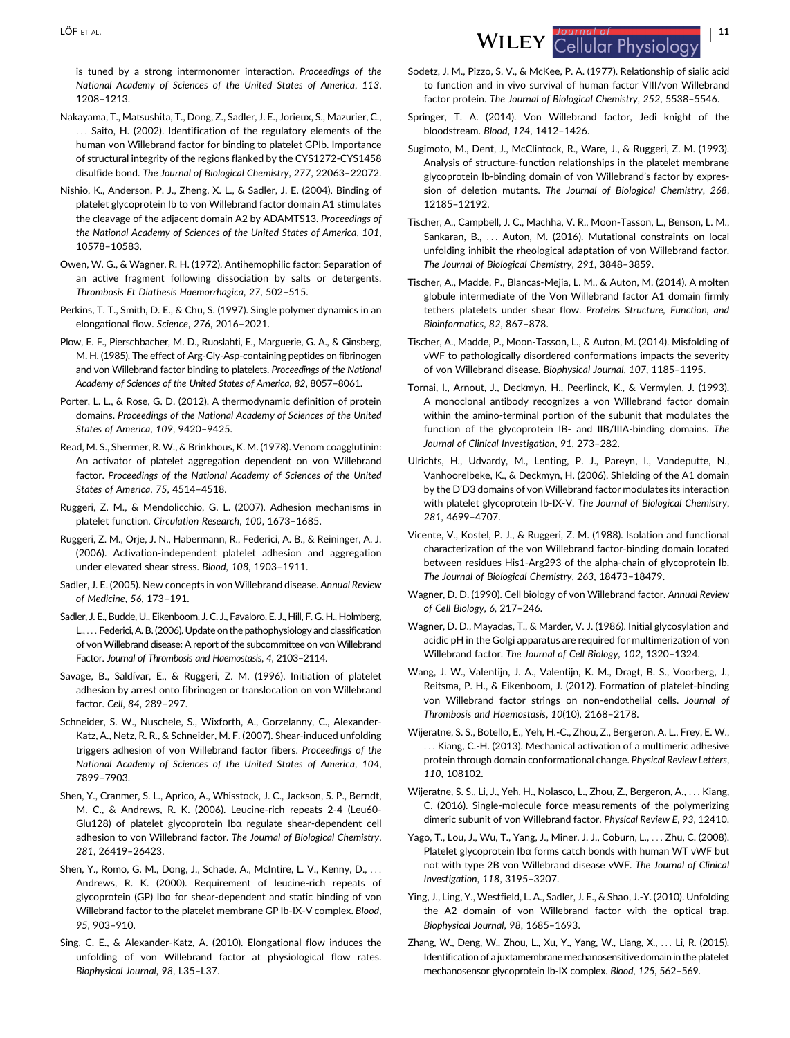<span id="page-10-0"></span>LÖF ET AL. <sup>|</sup> <sup>11</sup>

is tuned by a strong intermonomer interaction. Proceedings of the National Academy of Sciences of the United States of America, 113, 1208–1213.

- Nakayama, T., Matsushita, T., Dong, Z., Sadler, J. E., Jorieux, S., Mazurier, C., ... Saito, H. (2002). Identification of the regulatory elements of the human von Willebrand factor for binding to platelet GPIb. Importance of structural integrity of the regions flanked by the CYS1272-CYS1458 disulfide bond. The Journal of Biological Chemistry, 277, 22063–22072.
- Nishio, K., Anderson, P. J., Zheng, X. L., & Sadler, J. E. (2004). Binding of platelet glycoprotein Ib to von Willebrand factor domain A1 stimulates the cleavage of the adjacent domain A2 by ADAMTS13. Proceedings of the National Academy of Sciences of the United States of America, 101, 10578–10583.
- Owen, W. G., & Wagner, R. H. (1972). Antihemophilic factor: Separation of an active fragment following dissociation by salts or detergents. Thrombosis Et Diathesis Haemorrhagica, 27, 502–515.
- Perkins, T. T., Smith, D. E., & Chu, S. (1997). Single polymer dynamics in an elongational flow. Science, 276, 2016–2021.
- Plow, E. F., Pierschbacher, M. D., Ruoslahti, E., Marguerie, G. A., & Ginsberg, M. H. (1985). The effect of Arg-Gly-Asp-containing peptides on fibrinogen and von Willebrand factor binding to platelets. Proceedings of the National Academy of Sciences of the United States of America, 82, 8057–8061.
- Porter, L. L., & Rose, G. D. (2012). A thermodynamic definition of protein domains. Proceedings of the National Academy of Sciences of the United States of America, 109, 9420–9425.
- Read, M. S., Shermer, R. W., & Brinkhous, K. M. (1978). Venom coagglutinin: An activator of platelet aggregation dependent on von Willebrand factor. Proceedings of the National Academy of Sciences of the United States of America, 75, 4514–4518.
- Ruggeri, Z. M., & Mendolicchio, G. L. (2007). Adhesion mechanisms in platelet function. Circulation Research, 100, 1673–1685.
- Ruggeri, Z. M., Orje, J. N., Habermann, R., Federici, A. B., & Reininger, A. J. (2006). Activation-independent platelet adhesion and aggregation under elevated shear stress. Blood, 108, 1903–1911.
- Sadler, J. E. (2005). New concepts in von Willebrand disease. Annual Review of Medicine, 56, 173–191.
- Sadler, J. E., Budde, U., Eikenboom, J. C. J., Favaloro, E. J., Hill, F. G. H., Holmberg, L., ... Federici, A. B. (2006). Update on the pathophysiology and classification of von Willebrand disease: A report of the subcommittee on von Willebrand Factor. Journal of Thrombosis and Haemostasis, 4, 2103–2114.
- Savage, B., Saldívar, E., & Ruggeri, Z. M. (1996). Initiation of platelet adhesion by arrest onto fibrinogen or translocation on von Willebrand factor. Cell, 84, 289–297.
- Schneider, S. W., Nuschele, S., Wixforth, A., Gorzelanny, C., Alexander-Katz, A., Netz, R. R., & Schneider, M. F. (2007). Shear-induced unfolding triggers adhesion of von Willebrand factor fibers. Proceedings of the National Academy of Sciences of the United States of America, 104, 7899–7903.
- Shen, Y., Cranmer, S. L., Aprico, A., Whisstock, J. C., Jackson, S. P., Berndt, M. C., & Andrews, R. K. (2006). Leucine-rich repeats 2-4 (Leu60- Glu128) of platelet glycoprotein Ibα regulate shear-dependent cell adhesion to von Willebrand factor. The Journal of Biological Chemistry, 281, 26419–26423.
- Shen, Y., Romo, G. M., Dong, J., Schade, A., McIntire, L. V., Kenny, D., ... Andrews, R. K. (2000). Requirement of leucine-rich repeats of glycoprotein (GP) Ibα for shear-dependent and static binding of von Willebrand factor to the platelet membrane GP Ib-IX-V complex. Blood, 95, 903–910.
- Sing, C. E., & Alexander-Katz, A. (2010). Elongational flow induces the unfolding of von Willebrand factor at physiological flow rates. Biophysical Journal, 98, L35–L37.
- Sodetz, J. M., Pizzo, S. V., & McKee, P. A. (1977). Relationship of sialic acid to function and in vivo survival of human factor VIII/von Willebrand factor protein. The Journal of Biological Chemistry, 252, 5538–5546.
- Springer, T. A. (2014). Von Willebrand factor, Jedi knight of the bloodstream. Blood, 124, 1412–1426.
- Sugimoto, M., Dent, J., McClintock, R., Ware, J., & Ruggeri, Z. M. (1993). Analysis of structure-function relationships in the platelet membrane glycoprotein Ib-binding domain of von Willebrand's factor by expression of deletion mutants. The Journal of Biological Chemistry, 268, 12185–12192.
- Tischer, A., Campbell, J. C., Machha, V. R., Moon-Tasson, L., Benson, L. M., Sankaran, B., ... Auton, M. (2016). Mutational constraints on local unfolding inhibit the rheological adaptation of von Willebrand factor. The Journal of Biological Chemistry, 291, 3848–3859.
- Tischer, A., Madde, P., Blancas-Mejia, L. M., & Auton, M. (2014). A molten globule intermediate of the Von Willebrand factor A1 domain firmly tethers platelets under shear flow. Proteins Structure, Function, and Bioinformatics, 82, 867–878.
- Tischer, A., Madde, P., Moon-Tasson, L., & Auton, M. (2014). Misfolding of vWF to pathologically disordered conformations impacts the severity of von Willebrand disease. Biophysical Journal, 107, 1185–1195.
- Tornai, I., Arnout, J., Deckmyn, H., Peerlinck, K., & Vermylen, J. (1993). A monoclonal antibody recognizes a von Willebrand factor domain within the amino-terminal portion of the subunit that modulates the function of the glycoprotein IB- and IIB/IIIA-binding domains. The Journal of Clinical Investigation, 91, 273–282.
- Ulrichts, H., Udvardy, M., Lenting, P. J., Pareyn, I., Vandeputte, N., Vanhoorelbeke, K., & Deckmyn, H. (2006). Shielding of the A1 domain by the D'D3 domains of von Willebrand factor modulates its interaction with platelet glycoprotein Ib-IX-V. The Journal of Biological Chemistry, 281, 4699–4707.
- Vicente, V., Kostel, P. J., & Ruggeri, Z. M. (1988). Isolation and functional characterization of the von Willebrand factor-binding domain located between residues His1-Arg293 of the alpha-chain of glycoprotein Ib. The Journal of Biological Chemistry, 263, 18473–18479.
- Wagner, D. D. (1990). Cell biology of von Willebrand factor. Annual Review of Cell Biology, 6, 217–246.
- Wagner, D. D., Mayadas, T., & Marder, V. J. (1986). Initial glycosylation and acidic pH in the Golgi apparatus are required for multimerization of von Willebrand factor. The Journal of Cell Biology, 102, 1320–1324.
- Wang, J. W., Valentijn, J. A., Valentijn, K. M., Dragt, B. S., Voorberg, J., Reitsma, P. H., & Eikenboom, J. (2012). Formation of platelet-binding von Willebrand factor strings on non-endothelial cells. Journal of Thrombosis and Haemostasis, 10(10), 2168–2178.
- Wijeratne, S. S., Botello, E., Yeh, H.-C., Zhou, Z., Bergeron, A. L., Frey, E. W., ... Kiang, C.-H. (2013). Mechanical activation of a multimeric adhesive protein through domain conformational change. Physical Review Letters, 110, 108102.
- Wijeratne, S. S., Li, J., Yeh, H., Nolasco, L., Zhou, Z., Bergeron, A., ... Kiang, C. (2016). Single-molecule force measurements of the polymerizing dimeric subunit of von Willebrand factor. Physical Review E, 93, 12410.
- Yago, T., Lou, J., Wu, T., Yang, J., Miner, J. J., Coburn, L., ... Zhu, C. (2008). Platelet glycoprotein Ibα forms catch bonds with human WT vWF but not with type 2B von Willebrand disease vWF. The Journal of Clinical Investigation, 118, 3195–3207.
- Ying, J., Ling, Y., Westfield, L. A., Sadler, J. E., & Shao, J.-Y. (2010). Unfolding the A2 domain of von Willebrand factor with the optical trap. Biophysical Journal, 98, 1685–1693.
- Zhang, W., Deng, W., Zhou, L., Xu, Y., Yang, W., Liang, X., ... Li, R. (2015). Identification of a juxtamembrane mechanosensitive domain in the platelet mechanosensor glycoprotein Ib-IX complex. Blood, 125, 562–569.